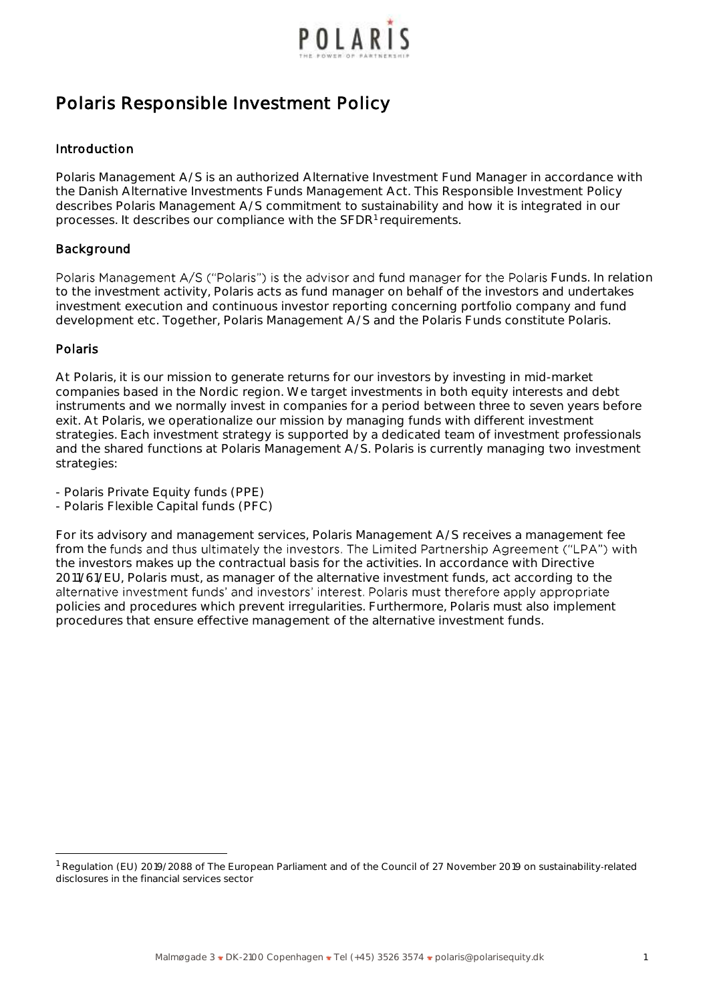

# **Polaris Responsible Investment Policy**

## **Introduction**

Polaris Management A/S is an authorized Alternative Investment Fund Manager in accordance with the Danish Alternative Investments Funds Management Act. This Responsible Investment Policy describes Polaris Management A/S commitment to sustainability and how it is integrated in our processes. It describes our compliance with the SFDR<sup>1</sup> requirements.

## **Background**

Polaris Management A/S ("Polaris") is the advisor and fund manager for the Polaris Funds. In relation to the investment activity, Polaris acts as fund manager on behalf of the investors and undertakes investment execution and continuous investor reporting concerning portfolio company and fund development etc. Together, Polaris Management A/S and the Polaris Funds constitute Polaris.

## **Polaris**

At Polaris, it is our mission to generate returns for our investors by investing in mid-market companies based in the Nordic region. We target investments in both equity interests and debt instruments and we normally invest in companies for a period between three to seven years before exit. At Polaris, we operationalize our mission by managing funds with different investment strategies. Each investment strategy is supported by a dedicated team of investment professionals and the shared functions at Polaris Management A/S. Polaris is currently managing two investment strategies:

- Polaris Private Equity funds (PPE)

- Polaris Flexible Capital funds (PFC)

For its advisory and management services, Polaris Management A/S receives a management fee from the funds and thus ultimately the investors. The Limited Partnership Agreement ("LPA") with the investors makes up the contractual basis for the activities. In accordance with Directive 2011/61/EU, Polaris must, as manager of the alternative investment funds, act according to the alternative investment funds' and investors' interest. Polaris must therefore apply appropriate policies and procedures which prevent irregularities. Furthermore, Polaris must also implement procedures that ensure effective management of the alternative investment funds.

Regulation (EU) 2019/2088 of The European Parliament and of the Council of 27 November 2019 on sustainability-related disclosures in the financial services sector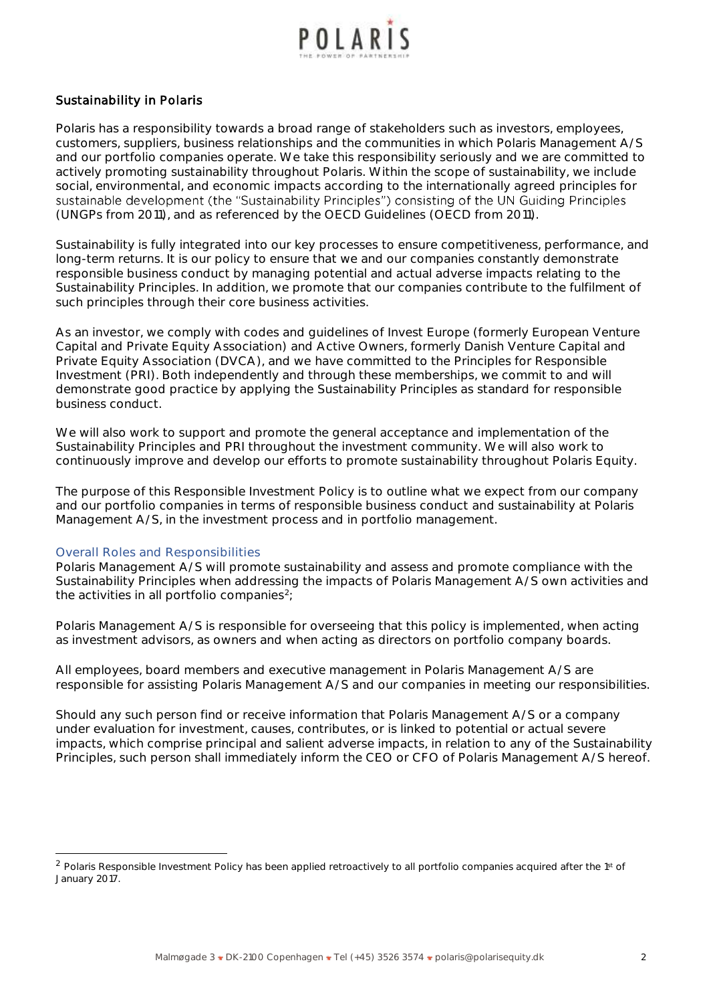

## **Sustainability in Polaris**

Polaris has a responsibility towards a broad range of stakeholders such as investors, employees, customers, suppliers, business relationships and the communities in which Polaris Management A/S and our portfolio companies operate. We take this responsibility seriously and we are committed to actively promoting sustainability throughout Polaris. Within the scope of sustainability, we include social, environmental, and economic impacts according to the internationally agreed principles for sustainable development (the "Sustainability Principles") consisting of the UN Guiding Principles (UNGPs from 2011), and as referenced by the OECD Guidelines (OECD from 2011).

Sustainability is fully integrated into our key processes to ensure competitiveness, performance, and long-term returns. It is our policy to ensure that we and our companies constantly demonstrate responsible business conduct by managing potential and actual adverse impacts relating to the Sustainability Principles. In addition, we promote that our companies contribute to the fulfilment of such principles through their core business activities.

As an investor, we comply with codes and guidelines of Invest Europe (formerly European Venture Capital and Private Equity Association) and Active Owners, formerly Danish Venture Capital and Private Equity Association (DVCA), and we have committed to the Principles for Responsible Investment (PRI). Both independently and through these memberships, we commit to and will demonstrate good practice by applying the Sustainability Principles as standard for responsible business conduct.

We will also work to support and promote the general acceptance and implementation of the Sustainability Principles and PRI throughout the investment community. We will also work to continuously improve and develop our efforts to promote sustainability throughout Polaris Equity.

The purpose of this Responsible Investment Policy is to outline what we expect from our company and our portfolio companies in terms of responsible business conduct and sustainability at Polaris Management A/S, in the investment process and in portfolio management.

#### *Overall Roles and Responsibilities*

Polaris Management A/S will promote sustainability and assess and promote compliance with the Sustainability Principles when addressing the impacts of Polaris Management A/S own activities and the activities in all portfolio companies<sup>2</sup>;

Polaris Management A/S is responsible for overseeing that this policy is implemented, when acting as investment advisors, as owners and when acting as directors on portfolio company boards.

All employees, board members and executive management in Polaris Management A/S are responsible for assisting Polaris Management A/S and our companies in meeting our responsibilities.

Should any such person find or receive information that Polaris Management A/S or a company under evaluation for investment, causes, contributes, or is linked to potential or actual *severe* impacts, which comprise principal and salient adverse impacts, in relation to any of the Sustainability Principles, such person shall immediately inform the CEO or CFO of Polaris Management A/S hereof.

<sup>&</sup>lt;sup>2</sup> Polaris Responsible Investment Policy has been applied retroactively to all portfolio companies acquired after the 1st of January 2017.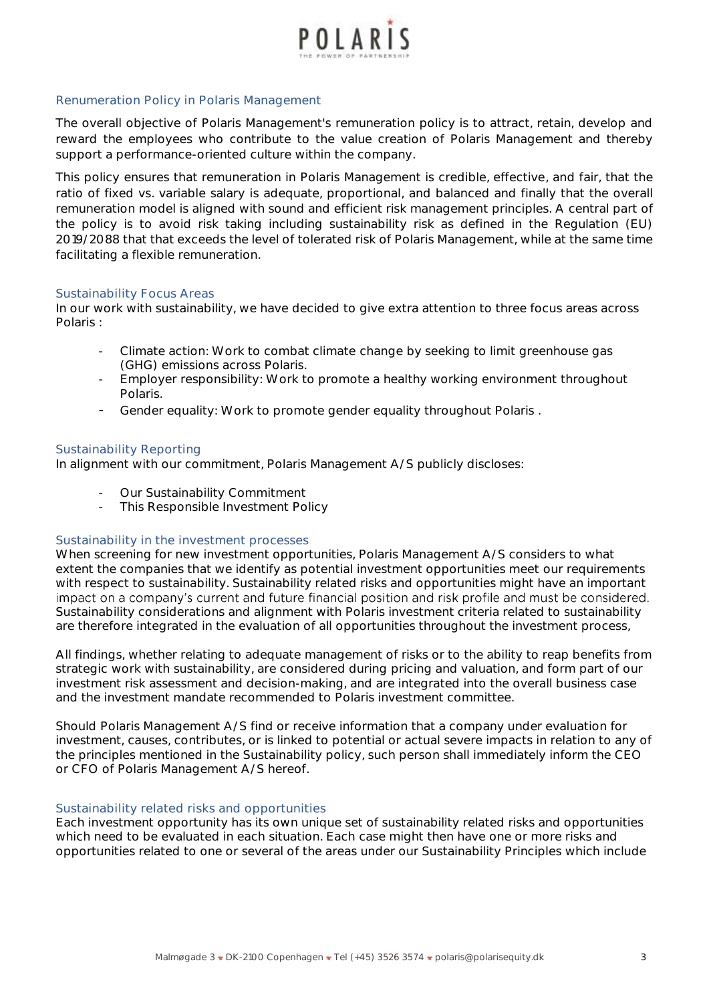

## *Renumeration Policy in Polaris Management*

The overall objective of Polaris Management's remuneration policy is to attract, retain, develop and reward the employees who contribute to the value creation of Polaris Management and thereby support a performance-oriented culture within the company.

This policy ensures that remuneration in Polaris Management is credible, effective, and fair, that the ratio of fixed vs. variable salary is adequate, proportional, and balanced and finally that the overall remuneration model is aligned with sound and efficient risk management principles. A central part of the policy is to avoid risk taking including sustainability risk as defined in the Regulation (EU) 2019/2088 that that exceeds the level of tolerated risk of Polaris Management, while at the same time facilitating a flexible remuneration.

#### *Sustainability Focus Areas*

In our work with sustainability, we have decided to give extra attention to three focus areas across Polaris :

- Climate action: Work to combat climate change by seeking to limit greenhouse gas (GHG) emissions across Polaris.
- Employer responsibility: Work to promote a healthy working environment throughout Polaris.
- Gender equality: Work to promote gender equality throughout Polaris .

#### *Sustainability Reporting*

In alignment with our commitment, Polaris Management A/S publicly discloses:

- Our Sustainability Commitment
- This Responsible Investment Policy

#### *Sustainability in the investment processes*

When screening for new investment opportunities, Polaris Management A/S considers to what extent the companies that we identify as potential investment opportunities meet our requirements with respect to sustainability. Sustainability related risks and opportunities might have an important impact on a company's current and future financial position and risk profile and must be considered. Sustainability considerations and alignment with Polaris investment criteria related to sustainability are therefore integrated in the evaluation of all opportunities throughout the investment process,

All findings, whether relating to adequate management of risks or to the ability to reap benefits from strategic work with sustainability, are considered during pricing and valuation, and form part of our investment risk assessment and decision-making, and are integrated into the overall business case and the investment mandate recommended to Polaris investment committee.

Should Polaris Management A/S find or receive information that a company under evaluation for investment, causes, contributes, or is linked to potential or actual *severe* impacts in relation to any of the principles mentioned in the Sustainability policy, such person shall immediately inform the CEO or CFO of Polaris Management A/S hereof.

## *Sustainability related risks and opportunities*

Each investment opportunity has its own unique set of sustainability related risks and opportunities which need to be evaluated in each situation. Each case might then have one or more risks and opportunities related to one or several of the areas under our Sustainability Principles which include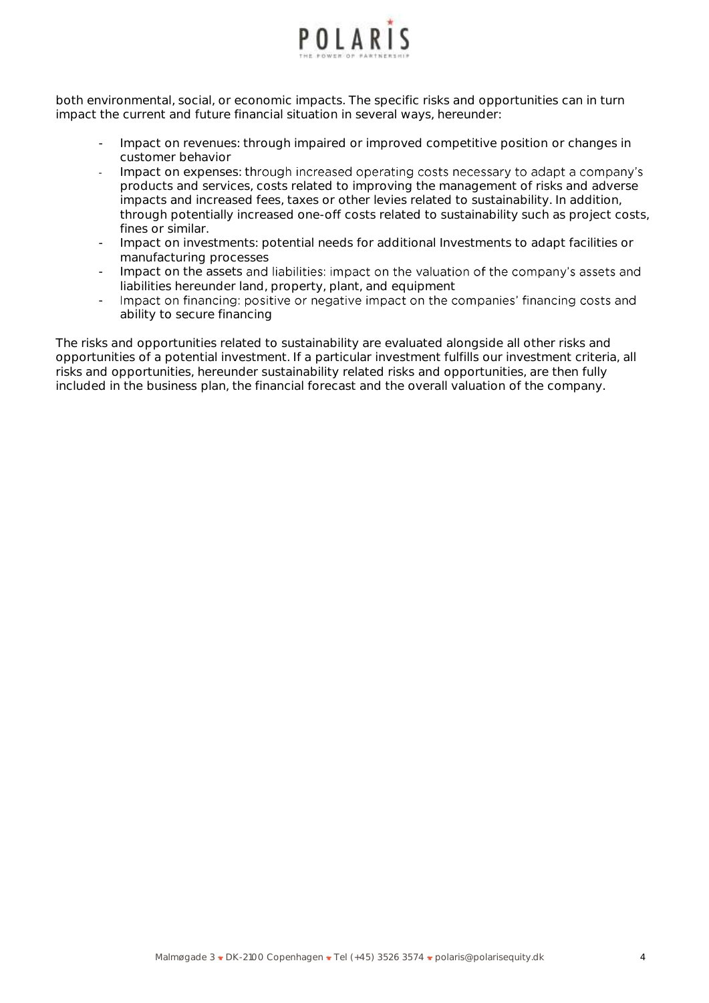

both environmental, social, or economic impacts. The specific risks and opportunities can in turn impact the current and future financial situation in several ways, hereunder:

- Impact on revenues: through impaired or improved competitive position or changes in customer behavior
- Impact on expenses: through increased operating costs necessary to adapt a company's products and services, costs related to improving the management of risks and adverse impacts and increased fees, taxes or other levies related to sustainability. In addition, through potentially increased one-off costs related to sustainability such as project costs, fines or similar.
- Impact on investments: potential needs for additional Investments to adapt facilities or manufacturing processes
- Impact on the assets and liabilities: impact on the valuation of the company's assets and liabilities hereunder land, property, plant, and equipment
- Impact on financing: positive or negative impact on the companies' financing costs and ability to secure financing

The risks and opportunities related to sustainability are evaluated alongside all other risks and opportunities of a potential investment. If a particular investment fulfills our investment criteria, all risks and opportunities, hereunder sustainability related risks and opportunities, are then fully included in the business plan, the financial forecast and the overall valuation of the company.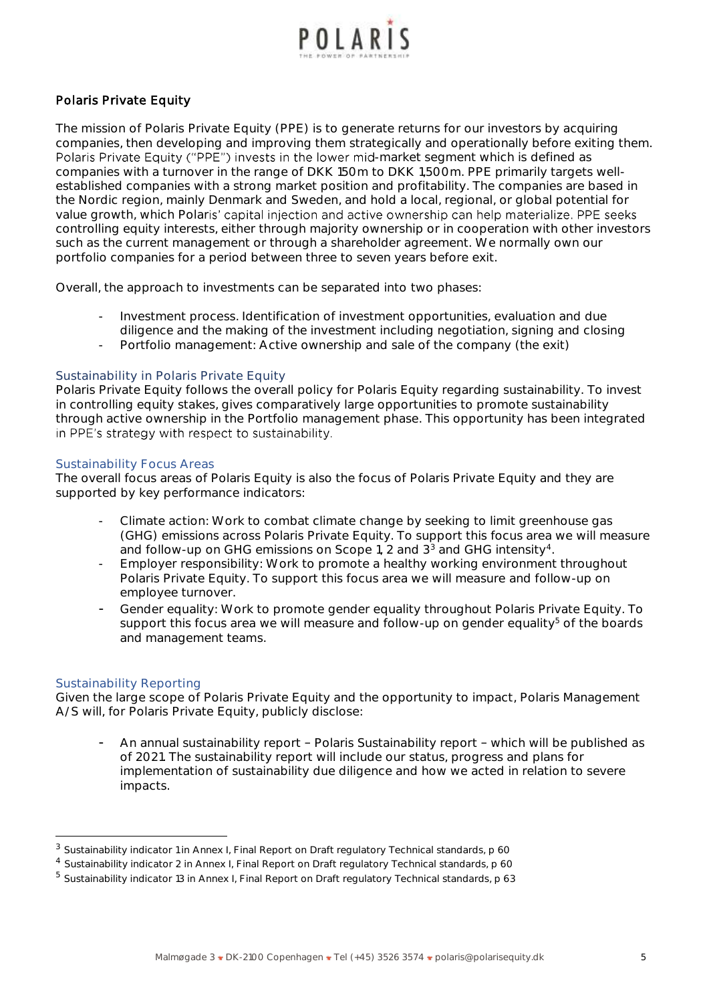

## **Polaris Private Equity**

The mission of Polaris Private Equity (PPE) is to generate returns for our investors by acquiring companies, then developing and improving them strategically and operationally before exiting them. Polaris Private Equity ("PPE") invests in the lower mid-market segment which is defined as companies with a turnover in the range of DKK 150m to DKK 1,500m. PPE primarily targets wellestablished companies with a strong market position and profitability. The companies are based in the Nordic region, mainly Denmark and Sweden, and hold a local, regional, or global potential for value growth, which Polaris' capital injection and active ownership can help materialize. PPE seeks controlling equity interests, either through majority ownership or in cooperation with other investors such as the current management or through a shareholder agreement. We normally own our portfolio companies for a period between three to seven years before exit.

Overall, the approach to investments can be separated into two phases:

- Investment process. Identification of investment opportunities, evaluation and due diligence and the making of the investment including negotiation, signing and closing
- Portfolio management: Active ownership and sale of the company (the exit)

#### **Sustainability in Polaris Private Equity**

Polaris Private Equity follows the overall policy for Polaris Equity regarding sustainability. To invest in controlling equity stakes, gives comparatively large opportunities to promote sustainability through active ownership in the Portfolio management phase. This opportunity has been integrated in PPE's strategy with respect to sustainability.

#### *Sustainability Focus Areas*

The overall focus areas of Polaris Equity is also the focus of Polaris Private Equity and they are supported by key performance indicators:

- Climate action: Work to combat climate change by seeking to limit greenhouse gas (GHG) emissions across Polaris Private Equity. To support this focus area we will measure and follow-up on GHG emissions on Scope 1, 2 and  $3<sup>3</sup>$  and GHG intensity<sup>4</sup>.
- Employer responsibility: Work to promote a healthy working environment throughout Polaris Private Equity. To support this focus area we will measure and follow-up on employee turnover.
- Gender equality: Work to promote gender equality throughout Polaris Private Equity. To support this focus area we will measure and follow-up on gender equality $5$  of the boards and management teams.

## *Sustainability Reporting*

Given the large scope of Polaris Private Equity and the opportunity to impact, Polaris Management A/S will, for Polaris Private Equity, publicly disclose:

An annual sustainability report - Polaris Sustainability report - which will be published as of 2021. The sustainability report will include our status, progress and plans for implementation of sustainability due diligence and how we acted in relation to severe impacts.

<sup>&</sup>lt;sup>3</sup> Sustainability indicator 1 in Annex I, Final Report on Draft regulatory Technical standards, p 60

<sup>4</sup> Sustainability indicator 2 in Annex I, Final Report on Draft regulatory Technical standards, p 60

<sup>5</sup> Sustainability indicator 13 in Annex I, Final Report on Draft regulatory Technical standards, p 63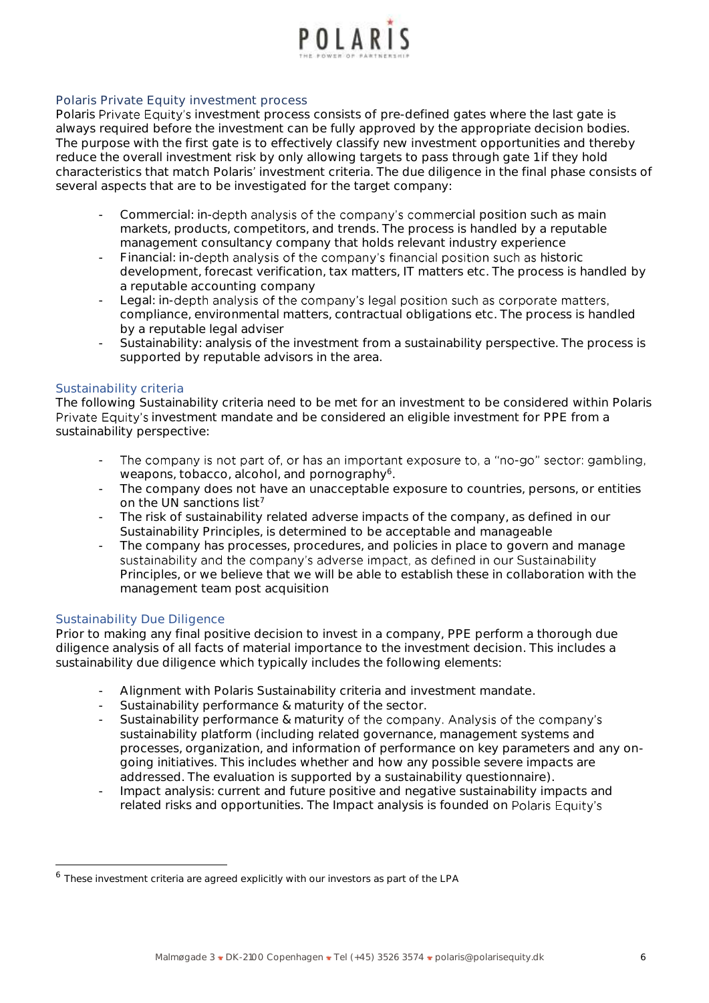

## **Polaris Private Equity investment process**

Polaris Private Equity's investment process consists of pre-defined gates where the last gate is always required before the investment can be fully approved by the appropriate decision bodies. The purpose with the first gate is to effectively classify new investment opportunities and thereby reduce the overall investment risk by only allowing targets to pass through gate 1 if they hold characteristics that match Polaris' investment criteria. The due diligence in the final phase consists of several aspects that are to be investigated for the target company:

- *Commercial*: in-depth analysis of the company's commercial position such as main markets, products, competitors, and trends. The process is handled by a reputable management consultancy company that holds relevant industry experience
- *Financial:* in-depth analysis of the company's financial position such as historic development, forecast verification, tax matters, IT matters etc. The process is handled by a reputable accounting company
- Legal: in-depth analysis of the company's legal position such as corporate matters, compliance, environmental matters, contractual obligations etc. The process is handled by a reputable legal adviser
- *Sustainability:* analysis of the investment from a sustainability perspective. The process is supported by reputable advisors in the area.

## *Sustainability criteria*

The following Sustainability criteria need to be met for an investment to be considered within Polaris Private Equity's investment mandate and be considered an eligible investment for PPE from a sustainability perspective:

- The company is not part of, or has an important exposure to, a "no-go" sector: gambling, weapons, tobacco, alcohol, and pornography<sup>6</sup>.
- The company does not have an unacceptable exposure to countries, persons, or entities on the UN sanctions list<sup>7</sup>
- The risk of sustainability related adverse impacts of the company, as defined in our Sustainability Principles, is determined to be acceptable and manageable
- The company has processes, procedures, and policies in place to govern and manage sustainability and the company's adverse impact, as defined in our Sustainability Principles, or we believe that we will be able to establish these in collaboration with the management team post acquisition

## *Sustainability Due Diligence*

Prior to making any final positive decision to invest in a company, PPE perform a thorough due diligence analysis of all facts of material importance to the investment decision. This includes a sustainability due diligence which typically includes the following elements:

- Alignment with Polaris Sustainability criteria and investment mandate.
- Sustainability performance & maturity of the sector.
- Sustainability performance & maturity of the company. Analysis of the company's sustainability platform (including related governance, management systems and processes, organization, and information of performance on key parameters and any ongoing initiatives. This includes whether and how any possible severe impacts are addressed. The evaluation is supported by a sustainability questionnaire).
- Impact analysis: current and future positive and negative sustainability impacts and related risks and opportunities. The Impact analysis is founded on Polaris Equity's

<sup>6</sup> These investment criteria are agreed explicitly with our investors as part of the LPA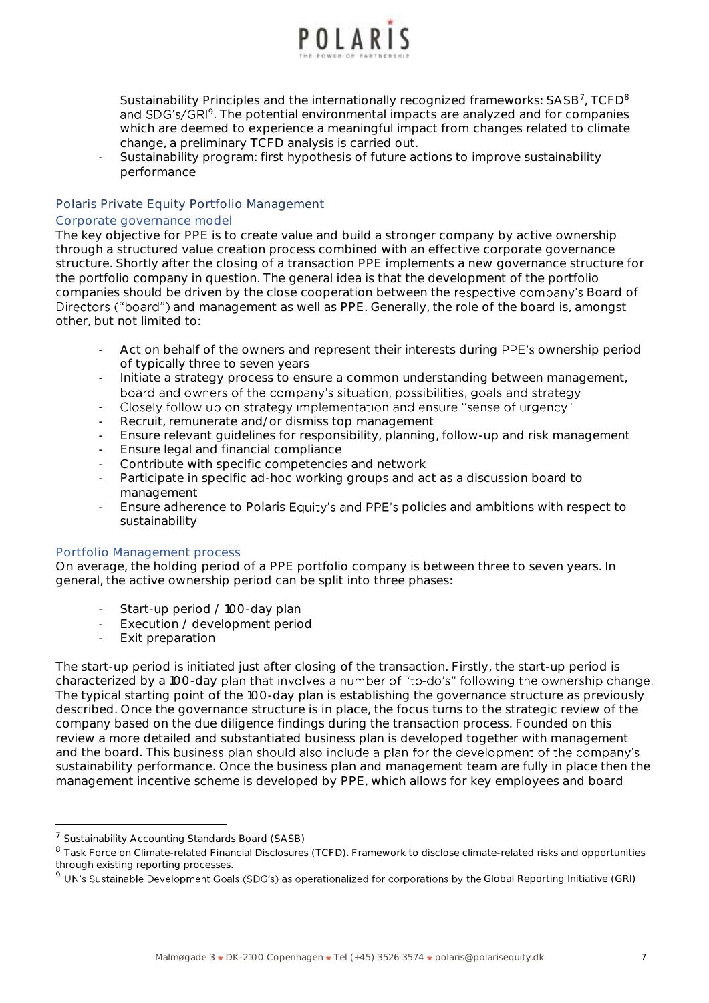

Sustainability Principles and the internationally recognized frameworks: SASB<sup>7</sup>, TCFD<sup>8</sup> <sup>9</sup>. The potential environmental impacts are analyzed and for companies which are deemed to experience a meaningful impact from changes related to climate change, a preliminary TCFD analysis is carried out.

- Sustainability program: first hypothesis of future actions to improve sustainability performance

## **Polaris Private Equity Portfolio Management**

#### *Corporate governance model*

The key objective for PPE is to create value and build a stronger company by active ownership through a structured value creation process combined with an effective corporate governance structure. Shortly after the closing of a transaction PPE implements a new governance structure for the portfolio company in question. The general idea is that the development of the portfolio companies should be driven by the close cooperation between the respective company's Board of Directors ("board") and management as well as PPE. Generally, the role of the board is, amongst other, but not limited to:

- Act on behalf of the owners and represent their interests during PPE's ownership period of typically three to seven years
- Initiate a strategy process to ensure a common understanding between management, board and owners of the company's situation, possibilities, goals and strategy
- Closely follow up on strategy implementation and ensure "sense of urgency" -
- Recruit, remunerate and/or dismiss top management
- Ensure relevant guidelines for responsibility, planning, follow-up and risk management
- Ensure legal and financial compliance
- Contribute with specific competencies and network
- Participate in specific ad-hoc working groups and act as a discussion board to management
- Ensure adherence to Polaris Equity's and PPE's policies and ambitions with respect to sustainability

#### *Portfolio Management process*

On average, the holding period of a PPE portfolio company is between three to seven years. In general, the active ownership period can be split into three phases:

- Start-up period / 100-day plan
- Execution / development period
- Exit preparation

The start-up period is initiated just after closing of the transaction. Firstly, the start-up period is characterized by a 100-day plan that involves a number of "to-do's" following the ownership change. The typical starting point of the 100-day plan is establishing the governance structure as previously described. Once the governance structure is in place, the focus turns to the strategic review of the company based on the due diligence findings during the transaction process. Founded on this review a more detailed and substantiated business plan is developed together with management and the board. This business plan should also include a plan for the development of the company's sustainability performance. Once the business plan and management team are fully in place then the management incentive scheme is developed by PPE, which allows for key employees and board

<sup>&</sup>lt;sup>7</sup> Sustainability Accounting Standards Board (SASB)

<sup>8</sup> Task Force on Climate-related Financial Disclosures (TCFD). Framework to disclose climate-related risks and opportunities through existing reporting processes.

 $9$  UN's Sustainable Development Goals (SDG's) as operationalized for corporations by the Global Reporting Initiative (GRI)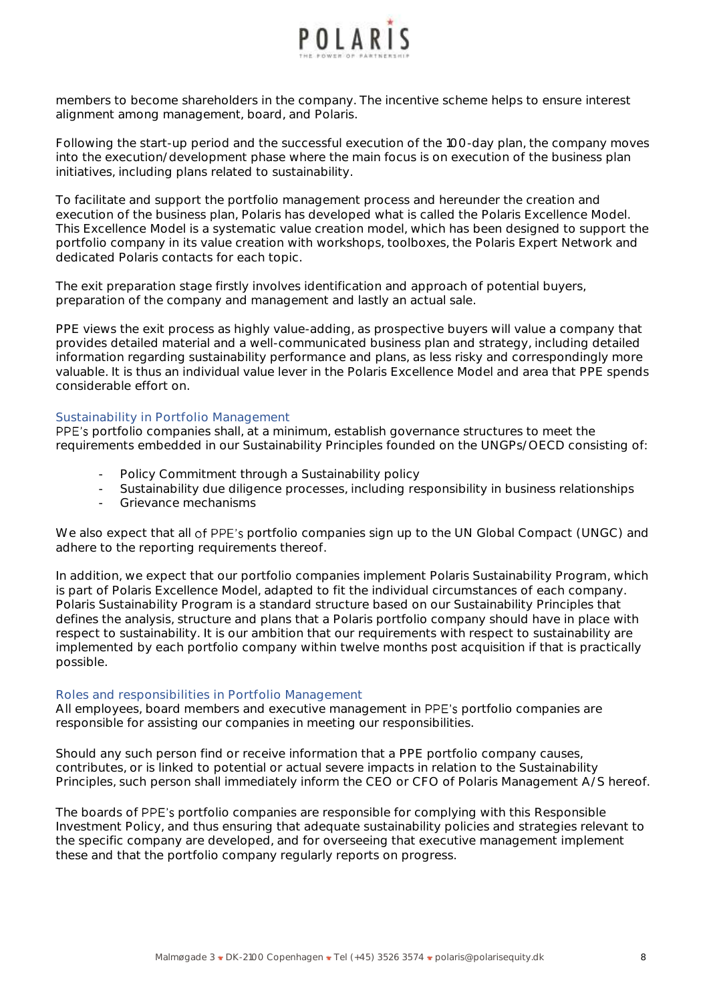

members to become shareholders in the company. The incentive scheme helps to ensure interest alignment among management, board, and Polaris.

Following the start-up period and the successful execution of the 100-day plan, the company moves into the execution/development phase where the main focus is on execution of the business plan initiatives, including plans related to sustainability.

To facilitate and support the portfolio management process and hereunder the creation and execution of the business plan, Polaris has developed what is called the Polaris Excellence Model. This Excellence Model is a systematic value creation model, which has been designed to support the portfolio company in its value creation with workshops, toolboxes, the Polaris Expert Network and dedicated Polaris contacts for each topic.

The exit preparation stage firstly involves identification and approach of potential buyers, preparation of the company and management and lastly an actual sale.

PPE views the exit process as highly value-adding, as prospective buyers will value a company that provides detailed material and a well-communicated business plan and strategy, including detailed information regarding sustainability performance and plans, as less risky and correspondingly more valuable. It is thus an individual value lever in the Polaris Excellence Model and area that PPE spends considerable effort on.

#### *Sustainability in Portfolio Management*

PPE's portfolio companies shall, at a minimum, establish governance structures to meet the requirements embedded in our Sustainability Principles founded on the UNGPs/OECD consisting of:

- Policy Commitment through a Sustainability policy
- Sustainability due diligence processes, including responsibility in business relationships
- Grievance mechanisms

We also expect that all of PPE's portfolio companies sign up to the UN Global Compact (UNGC) and adhere to the reporting requirements thereof.

In addition, we expect that our portfolio companies implement Polaris Sustainability Program, which is part of Polaris Excellence Model, adapted to fit the individual circumstances of each company. Polaris Sustainability Program is a standard structure based on our Sustainability Principles that defines the analysis, structure and plans that a Polaris portfolio company should have in place with respect to sustainability. It is our ambition that our requirements with respect to sustainability are implemented by each portfolio company within twelve months post acquisition if that is practically possible.

#### *Roles and responsibilities in Portfolio Management*

All employees, board members and executive management in PPE's portfolio companies are responsible for assisting our companies in meeting our responsibilities.

Should any such person find or receive information that a PPE portfolio company causes, contributes, or is linked to potential or actual *severe* impacts in relation to the Sustainability Principles, such person shall immediately inform the CEO or CFO of Polaris Management A/S hereof.

The boards of PPE's portfolio companies are responsible for complying with this Responsible Investment Policy, and thus ensuring that adequate sustainability policies and strategies relevant to the specific company are developed, and for overseeing that executive management implement these and that the portfolio company regularly reports on progress.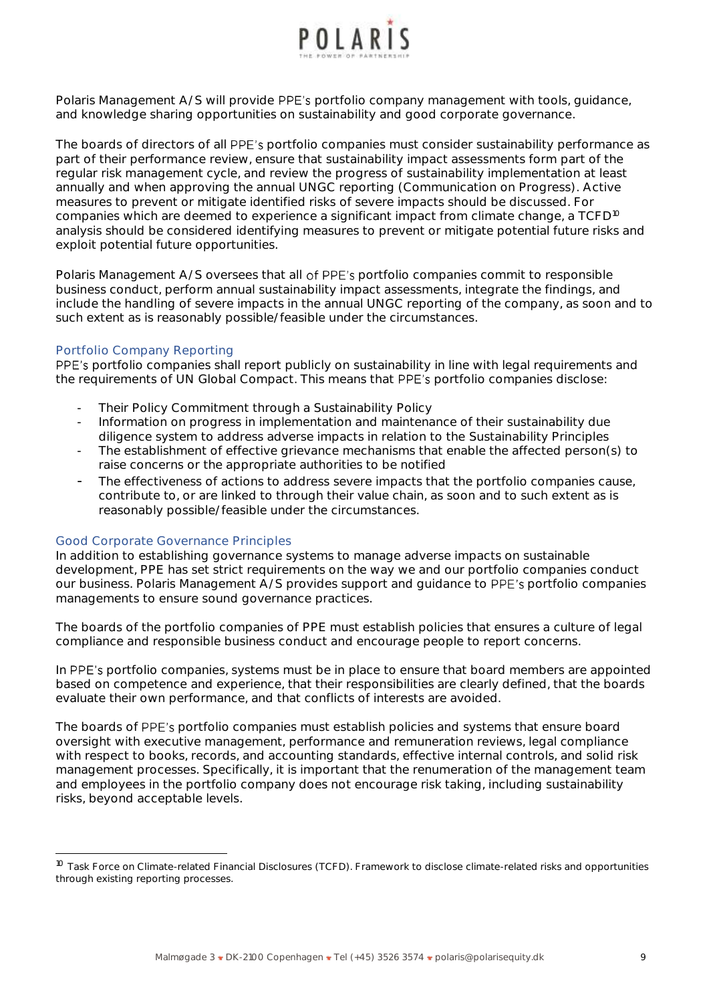

Polaris Management A/S will provide PPE's portfolio company management with tools, guidance, and knowledge sharing opportunities on sustainability and good corporate governance.

The boards of directors of all PPE's portfolio companies must consider sustainability performance as part of their performance review, ensure that sustainability impact assessments form part of the regular risk management cycle, and review the progress of sustainability implementation at least annually and when approving the annual UNGC reporting (Communication on Progress). Active measures to prevent or mitigate identified risks of severe impacts should be discussed. For companies which are deemed to experience a significant impact from climate change, a TCFD<sup>10</sup> analysis should be considered identifying measures to prevent or mitigate potential future risks and exploit potential future opportunities.

Polaris Management A/S oversees that all of PPE's portfolio companies commit to responsible business conduct, perform annual sustainability impact assessments, integrate the findings, and include the handling of severe impacts in the annual UNGC reporting of the company, as soon and to such extent as is reasonably possible/feasible under the circumstances.

#### *Portfolio Company Reporting*

PPE's portfolio companies shall report publicly on sustainability in line with legal requirements and the requirements of UN Global Compact. This means that PPE's portfolio companies disclose:

- Their Policy Commitment through a Sustainability Policy
- Information on progress in implementation and maintenance of their sustainability due diligence system to address adverse impacts in relation to the Sustainability Principles
- The establishment of effective grievance mechanisms that enable the affected person(s) to raise concerns or the appropriate authorities to be notified
- The effectiveness of actions to address severe impacts that the portfolio companies cause, contribute to, or are linked to through their value chain, as soon and to such extent as is reasonably possible/feasible under the circumstances.

#### *Good Corporate Governance Principles*

In addition to establishing governance systems to manage adverse impacts on sustainable development, PPE has set strict requirements on the way we and our portfolio companies conduct our business. Polaris Management A/S provides support and guidance to PPE's portfolio companies managements to ensure sound governance practices.

The boards of the portfolio companies of PPE must establish policies that ensures a culture of legal compliance and responsible business conduct and encourage people to report concerns.

In PPE's portfolio companies, systems must be in place to ensure that board members are appointed based on competence and experience, that their responsibilities are clearly defined, that the boards evaluate their own performance, and that conflicts of interests are avoided.

The boards of PPE's portfolio companies must establish policies and systems that ensure board oversight with executive management, performance and remuneration reviews, legal compliance with respect to books, records, and accounting standards, effective internal controls, and solid risk management processes. Specifically, it is important that the renumeration of the management team and employees in the portfolio company does not encourage risk taking, including sustainability risks, beyond acceptable levels.

<sup>&</sup>lt;sup>10</sup> Task Force on Climate-related Financial Disclosures (TCFD). Framework to disclose climate-related risks and opportunities through existing reporting processes.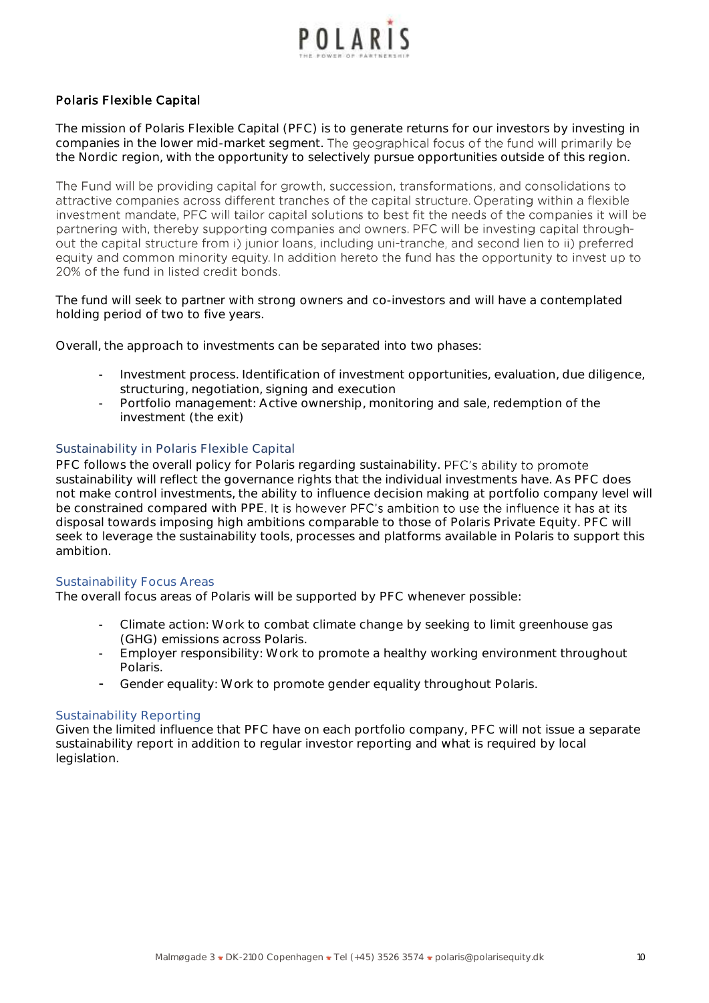

## **Polaris Flexible Capital**

The mission of Polaris Flexible Capital (PFC) is to generate returns for our investors by investing in companies in the lower mid-market segment. The geographical focus of the fund will primarily be the Nordic region, with the opportunity to selectively pursue opportunities outside of this region.

The Fund will be providing capital for growth, succession, transformations, and consolidations to attractive companies across different tranches of the capital structure. Operating within a flexible investment mandate, PFC will tailor capital solutions to best fit the needs of the companies it will be partnering with, thereby supporting companies and owners. PFC will be investing capital throughout the capital structure from i) junior loans, including uni-tranche, and second lien to ii) preferred equity and common minority equity. In addition hereto the fund has the opportunity to invest up to 20% of the fund in listed credit bonds.

The fund will seek to partner with strong owners and co-investors and will have a contemplated holding period of two to five years.

Overall, the approach to investments can be separated into two phases:

- Investment process. Identification of investment opportunities, evaluation, due diligence, structuring, negotiation, signing and execution
- Portfolio management: Active ownership, monitoring and sale, redemption of the investment (the exit)

## **Sustainability in Polaris Flexible Capital**

PFC follows the overall policy for Polaris regarding sustainability. PFC's ability to promote sustainability will reflect the governance rights that the individual investments have. As PFC does not make control investments, the ability to influence decision making at portfolio company level will be constrained compared with PPE. It is however PFC's ambition to use the influence it has at its disposal towards imposing high ambitions comparable to those of Polaris Private Equity. PFC will seek to leverage the sustainability tools, processes and platforms available in Polaris to support this ambition.

## *Sustainability Focus Areas*

The overall focus areas of Polaris will be supported by PFC whenever possible:

- Climate action: Work to combat climate change by seeking to limit greenhouse gas (GHG) emissions across Polaris.
- Employer responsibility: Work to promote a healthy working environment throughout Polaris.
- Gender equality: Work to promote gender equality throughout Polaris.

#### *Sustainability Reporting*

Given the limited influence that PFC have on each portfolio company, PFC will not issue a separate sustainability report in addition to regular investor reporting and what is required by local legislation.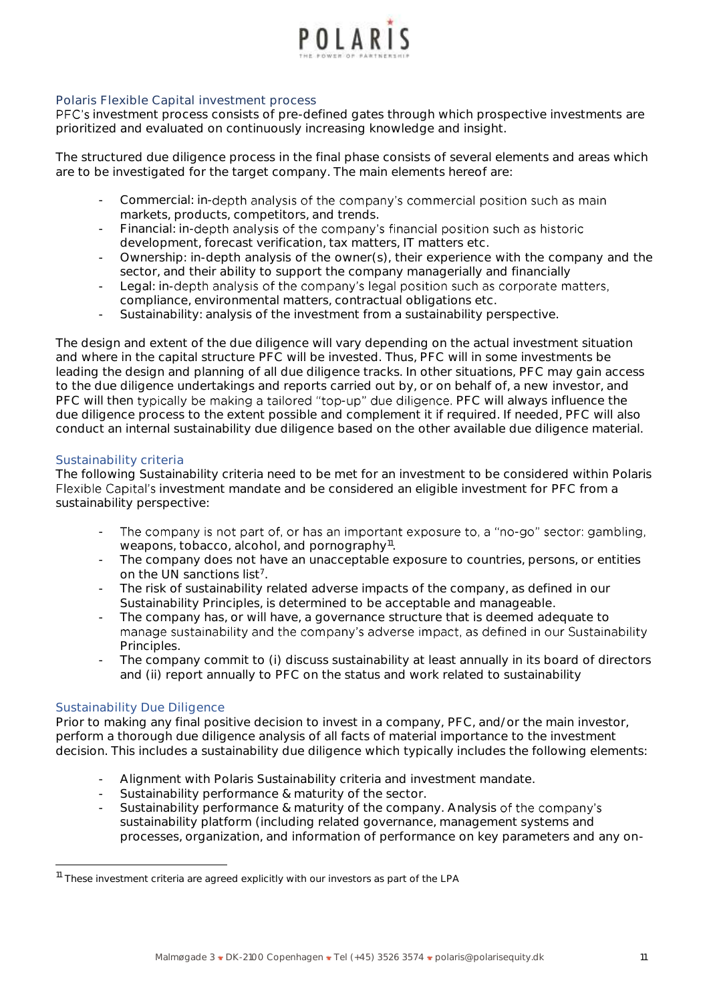

## **Polaris Flexible Capital investment process**

PFC's investment process consists of pre-defined gates through which prospective investments are prioritized and evaluated on continuously increasing knowledge and insight.

The structured due diligence process in the final phase consists of several elements and areas which are to be investigated for the target company. The main elements hereof are:

- Commercial: in-depth analysis of the company's commercial position such as main markets, products, competitors, and trends.
- *Financial:* in-depth analysis of the company's financial position such as historic development, forecast verification, tax matters, IT matters etc.
- *Ownership:* in-depth analysis of the owner(s), their experience with the company and the sector, and their ability to support the company managerially and financially
- Legal: in-depth analysis of the company's legal position such as corporate matters, compliance, environmental matters, contractual obligations etc.
- Sustainability: analysis of the investment from a sustainability perspective.

The design and extent of the due diligence will vary depending on the actual investment situation and where in the capital structure PFC will be invested. Thus, PFC will in some investments be leading the design and planning of all due diligence tracks. In other situations, PFC may gain access to the due diligence undertakings and reports carried out by, or on behalf of, a new investor, and PFC will then typically be making a tailored "top-up" due diligence. PFC will always influence the due diligence process to the extent possible and complement it if required. If needed, PFC will also conduct an internal sustainability due diligence based on the other available due diligence material.

#### *Sustainability criteria*

The following Sustainability criteria need to be met for an investment to be considered within Polaris Flexible Capital's investment mandate and be considered an eligible investment for PFC from a sustainability perspective:

- The company is not part of, or has an important exposure to, a "no-go" sector: gambling, weapons, tobacco, alcohol, and pornography<sup>11</sup>.
- The company does not have an unacceptable exposure to countries, persons, or entities on the UN sanctions list<sup>7</sup>.
- The risk of sustainability related adverse impacts of the company, as defined in our Sustainability Principles, is determined to be acceptable and manageable.
- The company has, or will have, a governance structure that is deemed adequate to manage sustainability and the company's adverse impact, as defined in our Sustainability Principles.
- The company commit to (i) discuss sustainability at least annually in its board of directors and (ii) report annually to PFC on the status and work related to sustainability

## *Sustainability Due Diligence*

Prior to making any final positive decision to invest in a company, PFC, and/or the main investor, perform a thorough due diligence analysis of all facts of material importance to the investment decision. This includes a sustainability due diligence which typically includes the following elements:

- Alignment with Polaris Sustainability criteria and investment mandate.
- Sustainability performance & maturity of the sector.
- Sustainability performance & maturity of the company. Analysis of the company's sustainability platform (including related governance, management systems and processes, organization, and information of performance on key parameters and any on-

<sup>&</sup>lt;sup>11</sup> These investment criteria are agreed explicitly with our investors as part of the LPA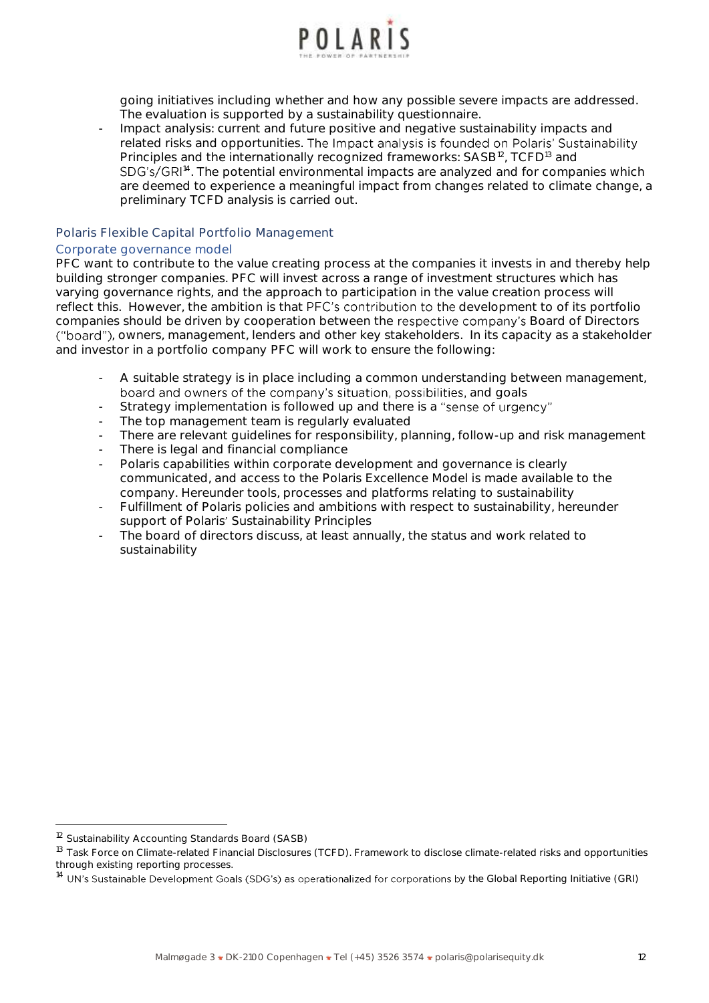

going initiatives including whether and how any possible severe impacts are addressed. The evaluation is supported by a sustainability questionnaire.

- Impact analysis: current and future positive and negative sustainability impacts and related risks and opportunities. The Impact analysis is founded on Polaris' Sustainability Principles and the internationally recognized frameworks: SASB<sup>12</sup>, TCFD<sup>13</sup> and <sup>14</sup>. The potential environmental impacts are analyzed and for companies which are deemed to experience a meaningful impact from changes related to climate change, a preliminary TCFD analysis is carried out.

## **Polaris Flexible Capital Portfolio Management**

#### *Corporate governance model*

PFC want to contribute to the value creating process at the companies it invests in and thereby help building stronger companies. PFC will invest across a range of investment structures which has varying governance rights, and the approach to participation in the value creation process will reflect this. However, the ambition is that PFC's contribution to the development to of its portfolio companies should be driven by cooperation between the respective company's Board of Directors ("board"), owners, management, lenders and other key stakeholders. In its capacity as a stakeholder and investor in a portfolio company PFC will work to ensure the following:

- A suitable strategy is in place including a common understanding between management, board and owners of the company's situation, possibilities, and goals
- Strategy implementation is followed up and there is a "sense of urgency"
- The top management team is regularly evaluated
- There are relevant quidelines for responsibility, planning, follow-up and risk management
- There is legal and financial compliance
- Polaris capabilities within corporate development and governance is clearly communicated, and access to the Polaris Excellence Model is made available to the company. Hereunder tools, processes and platforms relating to sustainability
- Fulfillment of Polaris policies and ambitions with respect to sustainability, hereunder support of Polaris' Sustainability Principles
- The board of directors discuss, at least annually, the status and work related to sustainability

<sup>&</sup>lt;sup>12</sup> Sustainability Accounting Standards Board (SASB)

<sup>13</sup> Task Force on Climate-related Financial Disclosures (TCFD). Framework to disclose climate-related risks and opportunities through existing reporting processes.

<sup>&</sup>lt;sup>14</sup> UN's Sustainable Development Goals (SDG's) as operationalized for corporations by the Global Reporting Initiative (GRI)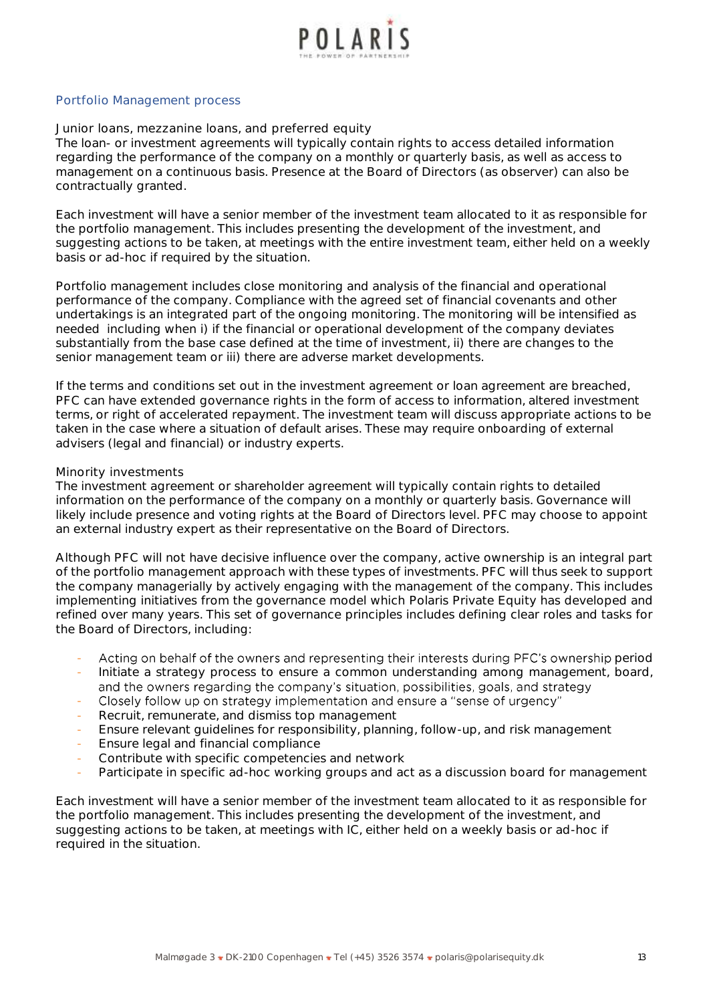

#### *Portfolio Management process*

#### Junior loans, mezzanine loans, and preferred equity

The loan- or investment agreements will typically contain rights to access detailed information regarding the performance of the company on a monthly or quarterly basis, as well as access to management on a continuous basis. Presence at the Board of Directors (as observer) can also be contractually granted.

Each investment will have a senior member of the investment team allocated to it as responsible for the portfolio management. This includes presenting the development of the investment, and suggesting actions to be taken, at meetings with the entire investment team, either held on a weekly basis or ad-hoc if required by the situation.

Portfolio management includes close monitoring and analysis of the financial and operational performance of the company. Compliance with the agreed set of financial covenants and other undertakings is an integrated part of the ongoing monitoring. The monitoring will be intensified as needed including when i) if the financial or operational development of the company deviates substantially from the base case defined at the time of investment, ii) there are changes to the senior management team or iii) there are adverse market developments.

If the terms and conditions set out in the investment agreement or loan agreement are breached, PFC can have extended governance rights in the form of access to information, altered investment terms, or right of accelerated repayment. The investment team will discuss appropriate actions to be taken in the case where a situation of default arises. These may require onboarding of external advisers (legal and financial) or industry experts.

#### Minority investments

The investment agreement or shareholder agreement will typically contain rights to detailed information on the performance of the company on a monthly or quarterly basis. Governance will likely include presence and voting rights at the Board of Directors level. PFC may choose to appoint an external industry expert as their representative on the Board of Directors.

Although PFC will not have decisive influence over the company, active ownership is an integral part of the portfolio management approach with these types of investments. PFC will thus seek to support the company managerially by actively engaging with the management of the company. This includes implementing initiatives from the governance model which Polaris Private Equity has developed and refined over many years. This set of governance principles includes defining clear roles and tasks for the Board of Directors, including:

- Acting on behalf of the owners and representing their interests during PFC's ownership period
- Initiate a strategy process to ensure a common understanding among management, board, and the owners regarding the company's situation, possibilities, goals, and strategy
- Closely follow up on strategy implementation and ensure a "sense of urgency" -
- Recruit, remunerate, and dismiss top management
- Ensure relevant guidelines for responsibility, planning, follow-up, and risk management
- Ensure legal and financial compliance
- Contribute with specific competencies and network
- Participate in specific ad-hoc working groups and act as a discussion board for management

Each investment will have a senior member of the investment team allocated to it as responsible for the portfolio management. This includes presenting the development of the investment, and suggesting actions to be taken, at meetings with IC, either held on a weekly basis or ad-hoc if required in the situation.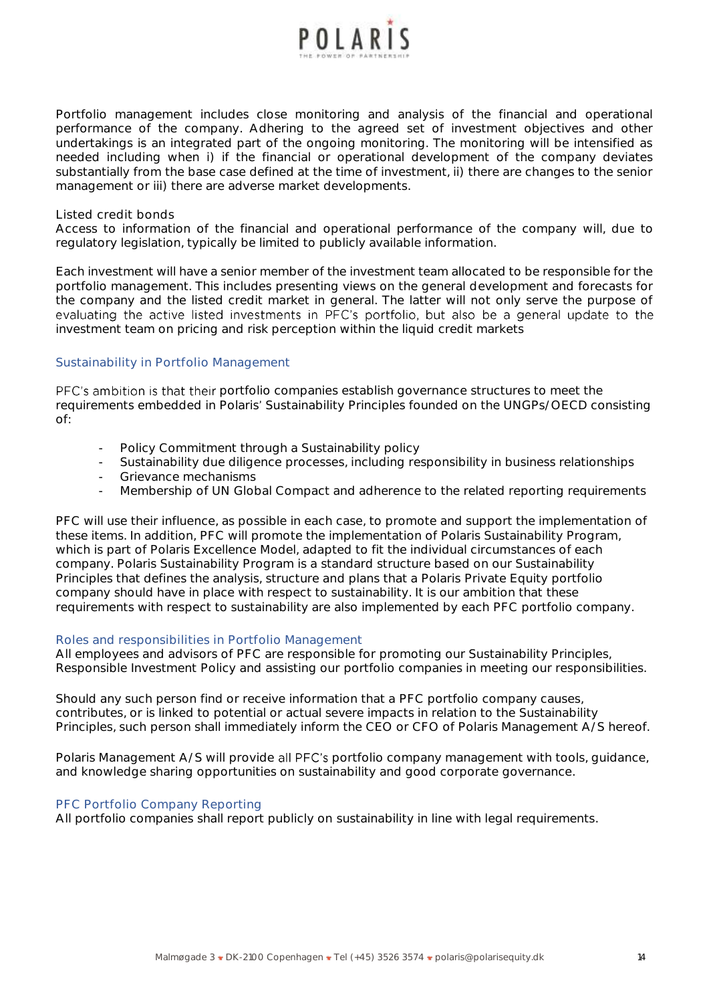

Portfolio management includes close monitoring and analysis of the financial and operational performance of the company. Adhering to the agreed set of investment objectives and other undertakings is an integrated part of the ongoing monitoring. The monitoring will be intensified as needed including when i) if the financial or operational development of the company deviates substantially from the base case defined at the time of investment, ii) there are changes to the senior management or iii) there are adverse market developments.

#### Listed credit bonds

Access to information of the financial and operational performance of the company will, due to regulatory legislation, typically be limited to publicly available information.

Each investment will have a senior member of the investment team allocated to be responsible for the portfolio management. This includes presenting views on the general development and forecasts for the company and the listed credit market in general. The latter will not only serve the purpose of evaluating the active listed investments in PFC's portfolio, but also be a general update to the investment team on pricing and risk perception within the liquid credit markets

## *Sustainability in Portfolio Management*

PFC's ambition is that their portfolio companies establish governance structures to meet the requirements embedded in Polaris' Sustainability Principles founded on the UNGPs/OECD consisting of:

- Policy Commitment through a Sustainability policy
- Sustainability due diligence processes, including responsibility in business relationships
- Grievance mechanisms
- Membership of UN Global Compact and adherence to the related reporting requirements

PFC will use their influence, as possible in each case, to promote and support the implementation of these items. In addition, PFC will promote the implementation of Polaris Sustainability Program, which is part of Polaris Excellence Model, adapted to fit the individual circumstances of each company. Polaris Sustainability Program is a standard structure based on our Sustainability Principles that defines the analysis, structure and plans that a Polaris Private Equity portfolio company should have in place with respect to sustainability. It is our ambition that these requirements with respect to sustainability are also implemented by each PFC portfolio company.

#### *Roles and responsibilities in Portfolio Management*

All employees and advisors of PFC are responsible for promoting our Sustainability Principles, Responsible Investment Policy and assisting our portfolio companies in meeting our responsibilities.

Should any such person find or receive information that a PFC portfolio company causes, contributes, or is linked to potential or actual *severe* impacts in relation to the Sustainability Principles, such person shall immediately inform the CEO or CFO of Polaris Management A/S hereof.

Polaris Management A/S will provide all PFC's portfolio company management with tools, guidance, and knowledge sharing opportunities on sustainability and good corporate governance.

## *PFC Portfolio Company Reporting*

All portfolio companies shall report publicly on sustainability in line with legal requirements.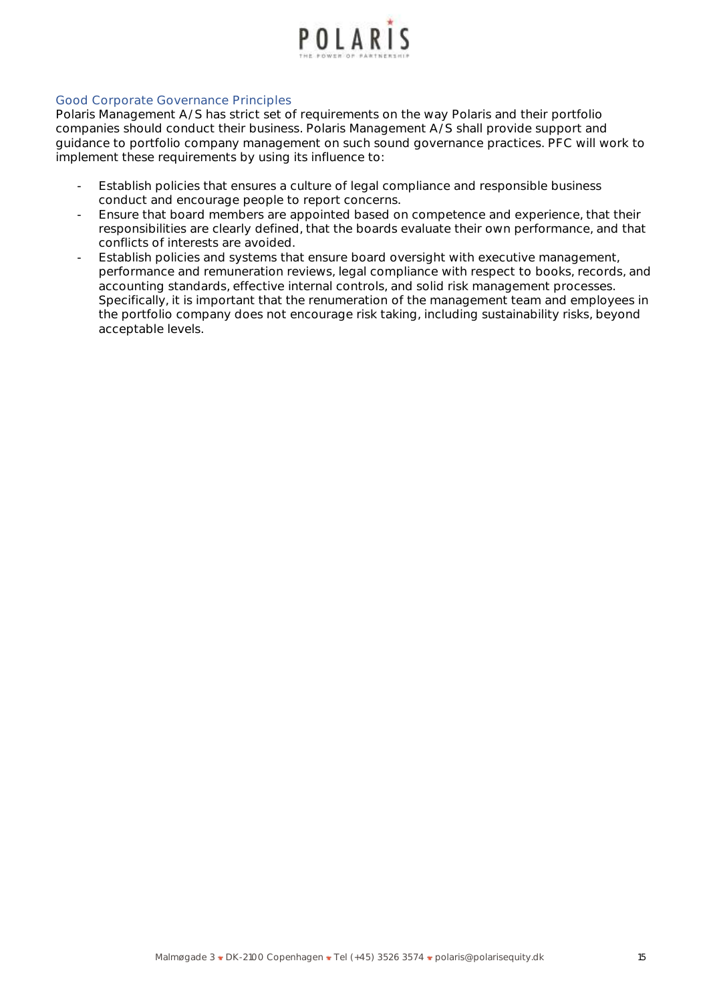

## *Good Corporate Governance Principles*

Polaris Management A/S has strict set of requirements on the way Polaris and their portfolio companies should conduct their business. Polaris Management A/S shall provide support and guidance to portfolio company management on such sound governance practices. PFC will work to implement these requirements by using its influence to:

- Establish policies that ensures a culture of legal compliance and responsible business conduct and encourage people to report concerns.
- Ensure that board members are appointed based on competence and experience, that their responsibilities are clearly defined, that the boards evaluate their own performance, and that conflicts of interests are avoided.
- Establish policies and systems that ensure board oversight with executive management, performance and remuneration reviews, legal compliance with respect to books, records, and accounting standards, effective internal controls, and solid risk management processes. Specifically, it is important that the renumeration of the management team and employees in the portfolio company does not encourage risk taking, including sustainability risks, beyond acceptable levels.